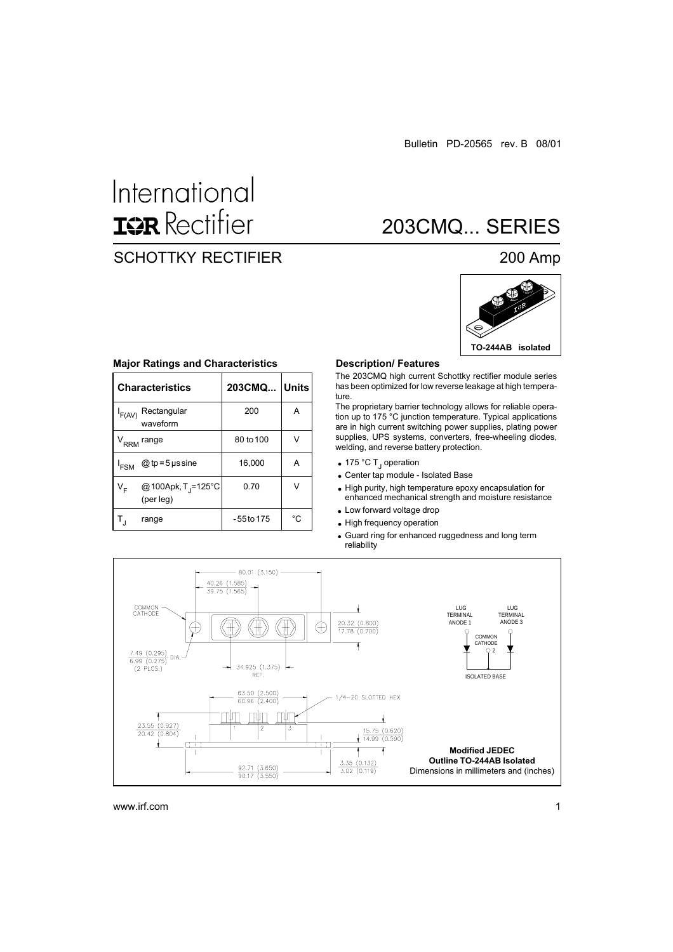# International **IGR** Rectifier

### SCHOTTKY RECTIFIER 200 Amp

## 203CMQ... SERIES



|                  | <b>Characteristics</b>                      | 203CMQ   Units |    |  |
|------------------|---------------------------------------------|----------------|----|--|
| $I_{F(AV)}$      | Rectangular<br>waveform                     | 200            | A  |  |
|                  | V <sub>RRM</sub> range                      | 80 to 100      | v  |  |
| <sup>I</sup> FSM | @ tp = 5 $\mu$ s sine                       | 16,000         | А  |  |
| V <sub>F</sub>   | @100Apk, T <sub>j</sub> =125°C<br>(per leg) | 0.70           |    |  |
|                  | range                                       | - 55 to 175    | °C |  |

#### **Major Ratings and Characteristics**

#### **Description/ Features**

The 203CMQ high current Schottky rectifier module series has been optimized for low reverse leakage at high temperature.

The proprietary barrier technology allows for reliable operation up to 175 °C junction temperature. Typical applications are in high current switching power supplies, plating power supplies, UPS systems, converters, free-wheeling diodes, welding, and reverse battery protection.

- 175 °C T<sub>J</sub> operation
- Center tap module Isolated Base

• High purity, high temperature epoxy encapsulation for enhanced mechanical strength and moisture resistance

- Low forward voltage drop
- High frequency operation

Guard ring for enhanced ruggedness and long term reliability

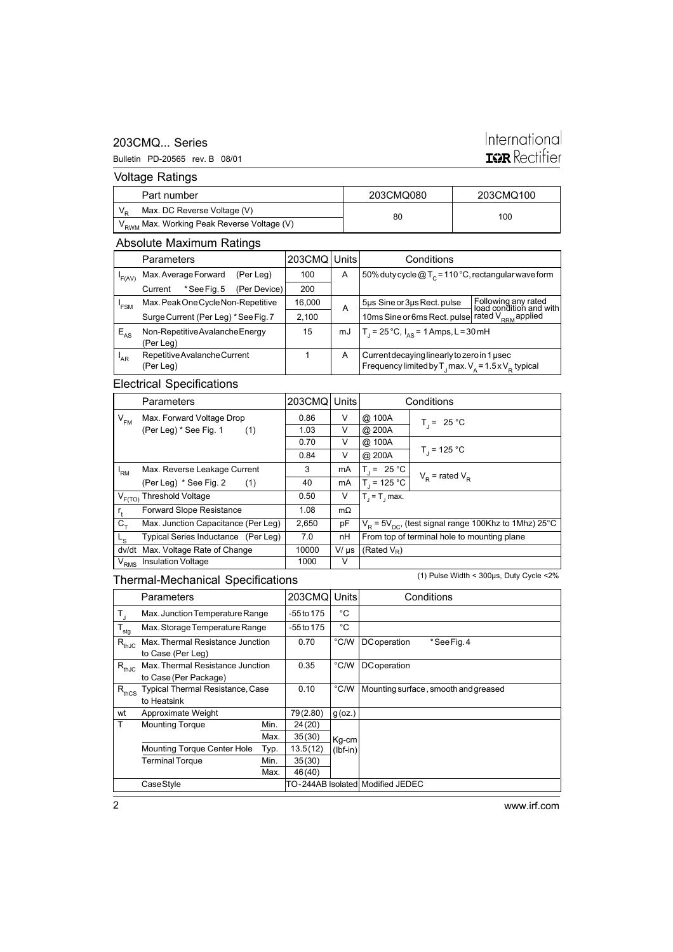#### 203CMQ... Series

#### Bulletin PD-20565 rev. B 08/01

## International **IGR** Rectifier

Voltage Ratings

|                                                        | Part number                 | 203CMQ080 | 203CMQ100 |  |
|--------------------------------------------------------|-----------------------------|-----------|-----------|--|
|                                                        | Max. DC Reverse Voltage (V) | 80        | 100       |  |
| V <sub>RWM</sub> Max. Working Peak Reverse Voltage (V) |                             |           |           |  |

### Absolute Maximum Ratings

|                 | Parameters                           |             |              | 203CMQ Units |                                                       | Conditions                                                                                |                                                |  |
|-----------------|--------------------------------------|-------------|--------------|--------------|-------------------------------------------------------|-------------------------------------------------------------------------------------------|------------------------------------------------|--|
| F(AV)           | Max. Average Forward<br>(Per Leg)    |             | 100          | A            | 50% duty cycle $@T_c = 110°C$ , rectangular wave form |                                                                                           |                                                |  |
|                 | Current                              | *See Fig. 5 | (Per Device) | 200          |                                                       |                                                                                           |                                                |  |
| 'FSM            | Max. Peak One Cycle Non-Repetitive   |             |              | 16,000       | A                                                     | 5µs Sine or 3µs Rect. pulse                                                               | Following any rated<br>load condition and with |  |
|                 | Surge Current (Per Leg) * See Fig. 7 |             |              | 2.100        |                                                       | 10ms Sine or 6ms Rect. pulse                                                              | rated $V_{RRM}$ applied                        |  |
| $E_{AS}$        | Non-Repetitive Avalanche Energy      |             |              | 15           | mJ                                                    | $T_1 = 25^{\circ}C$ , $I_{AS} = 1$ Amps, L = 30 mH                                        |                                                |  |
|                 | (Per Leg)                            |             |              |              |                                                       |                                                                                           |                                                |  |
| <sup>I</sup> AR | Repetitive Avalanche Current         |             |              | A            | Current decaying linearly to zero in 1 used           |                                                                                           |                                                |  |
|                 | (Per Leg)                            |             |              |              |                                                       | Frequency limited by $T_{\text{J}}$ max. $V_{\text{A}} = 1.5 \times V_{\text{p}}$ typical |                                                |  |

### Electrical Specifications

|             | Parameters                          |       | 203CMQ Units | Conditions                                                               |                     |  |
|-------------|-------------------------------------|-------|--------------|--------------------------------------------------------------------------|---------------------|--|
| $V_{FM}$    | Max. Forward Voltage Drop           | 0.86  | V            | @ 100A                                                                   | $T_i = 25 °C$       |  |
|             | (Per Leg) * See Fig. 1<br>(1)       | 1.03  | V            | @ 200A                                                                   |                     |  |
|             |                                     | 0.70  | V            | @ 100A                                                                   |                     |  |
|             |                                     | 0.84  | V            | @ 200A                                                                   | $T_1$ = 125 °C      |  |
| 'RM         | Max. Reverse Leakage Current        | 3     | mA           | $T_i = 25 °C$                                                            | $V_p$ = rated $V_p$ |  |
|             | (Per Leg) * See Fig. 2<br>(1)       | 40    | mA           | $T_1 = 125 °C$                                                           |                     |  |
|             | $V_{F(TO)}$ Threshold Voltage       | 0.50  | V            | $T = T$ , max.                                                           |                     |  |
| $r_{\ast}$  | <b>Forward Slope Resistance</b>     | 1.08  | $m\Omega$    |                                                                          |                     |  |
| $C_{\tau}$  | Max. Junction Capacitance (Per Leg) | 2,650 | pF           | $V_{\rm p}$ = 5V <sub>pc</sub> , (test signal range 100Khz to 1Mhz) 25°C |                     |  |
| $L_{\rm S}$ | Typical Series Inductance (Per Leg) | 7.0   | nH           | From top of terminal hole to mounting plane                              |                     |  |
|             | dv/dt Max. Voltage Rate of Change   | 10000 | $V/\mu s$    | (Rated $V_R$ )                                                           |                     |  |
| $V_{RMS}$   | <b>Insulation Voltage</b>           | 1000  | V            |                                                                          |                     |  |

### Thermal-Mechanical Specifications

(1) Pulse Width < 300µs, Duty Cycle <2%

|                         | Parameters                         |      | 203CMQ     | Units          | Conditions                           |
|-------------------------|------------------------------------|------|------------|----------------|--------------------------------------|
| $\mathsf{T}_\mathsf{J}$ | Max. Junction Temperature Range    |      | -55 to 175 | °C             |                                      |
| $T_{\text{sig}}$        | Max. Storage Temperature Range     |      | -55 to 175 | °C             |                                      |
| $R_{thJC}$              | Max. Thermal Resistance Junction   |      | 0.70       | $\degree$ C/W  | <b>DC</b> operation<br>*See Fig. 4   |
|                         | to Case (Per Leg)                  |      |            |                |                                      |
| $R_{thJC}$              | Max. Thermal Resistance Junction   |      | 0.35       | $\degree$ C/W  | <b>DC</b> operation                  |
|                         | to Case (Per Package)              |      |            |                |                                      |
| $R_{thCS}$              | Typical Thermal Resistance, Case   |      | 0.10       | $^{\circ}$ C/W | Mounting surface, smooth and greased |
|                         | to Heatsink                        |      |            |                |                                      |
| wt                      | Approximate Weight                 |      | 79(2.80)   | $g$ (oz.)      |                                      |
| T                       | <b>Mounting Torque</b>             | Min. | 24(20)     |                |                                      |
|                         |                                    | Max. | 35(30)     | Kg-cm          |                                      |
|                         | <b>Mounting Torque Center Hole</b> | Typ. | 13.5(12)   | $(lbf-in)$     |                                      |
|                         | <b>Terminal Torque</b>             | Min. | 35(30)     |                |                                      |
|                         |                                    | Max. | 46(40)     |                |                                      |
|                         | Case Style                         |      |            |                | TO-244AB Isolated Modified JEDEC     |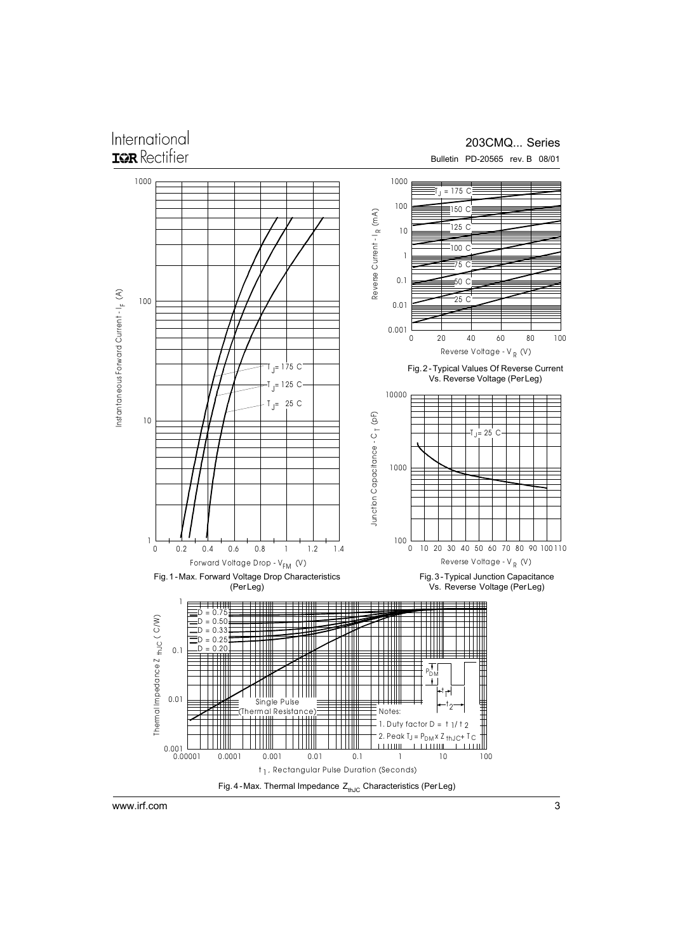### International TOR Rectifier

### 203CMQ... Series

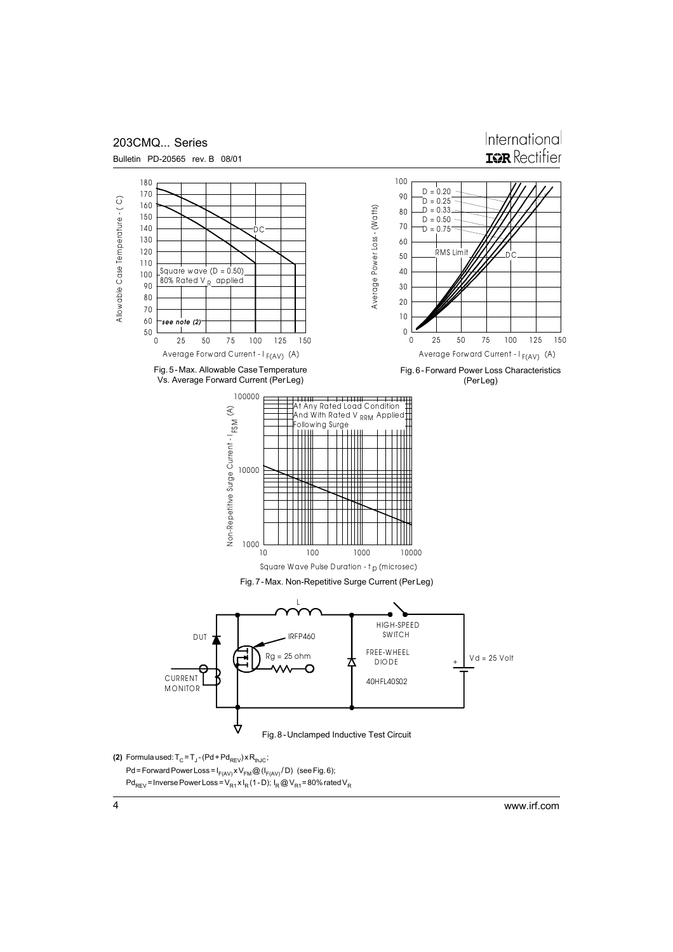

www.irf.com